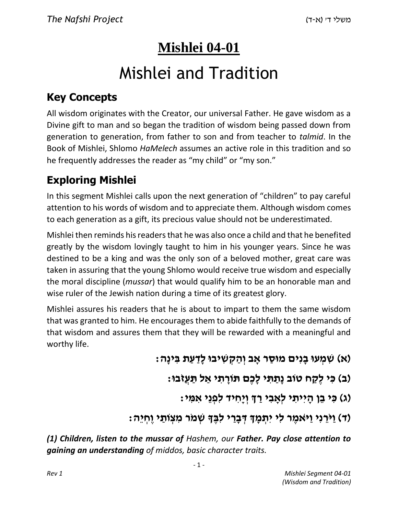## **Mishlei 04-01**

# Mishlei and Tradition

## **Key Concepts**

All wisdom originates with the Creator, our universal Father. He gave wisdom as a Divine gift to man and so began the tradition of wisdom being passed down from generation to generation, from father to son and from teacher to *talmid*. In the Book of Mishlei, Shlomo *HaMelech* assumes an active role in this tradition and so he frequently addresses the reader as "my child" or "my son."

## **Exploring Mishlei**

In this segment Mishlei calls upon the next generation of "children" to pay careful attention to his words of wisdom and to appreciate them. Although wisdom comes to each generation as a gift, its precious value should not be underestimated.

Mishlei then reminds his readers that he was also once a child and that he benefited greatly by the wisdom lovingly taught to him in his younger years. Since he was destined to be a king and was the only son of a beloved mother, great care was taken in assuring that the young Shlomo would receive true wisdom and especially the moral discipline (*mussar*) that would qualify him to be an honorable man and wise ruler of the Jewish nation during a time of its greatest glory.

Mishlei assures his readers that he is about to impart to them the same wisdom that was granted to him. He encourages them to abide faithfully to the demands of that wisdom and assures them that they will be rewarded with a meaningful and worthy life.

#### **)א( שִׁ מְ עוּ בָ נִים מוּסַ ר אָ ב וְ הַ קְ שִׁ יבוּ לָדַ עַ ת בִּ ינָה:**

**)ב( כִּ י לֶקַ ח טֹוב נָתַ תִּ י לָכֶם תֹּורָ תִ י אַ ל תַּ עֲזֹבוּ:** 

**)ג( כִּ י בֵ ן הָ יִיתִ י לְאָ בִ י רַ ְך וְ יָחִ יד לִפְ נֵי אִ מִּ י:** 

## **)ד( וַיֹּרֵ נִי וַיּ ֹאמֶ ר לִי יִתְ מָ ְך דְּ בָ רַ י לִבֶּ ָך שְׁ מֹר מִ צְ ֹותַ י וֶחְ יֵה:**

*(1) Children, listen to the mussar of Hashem, our Father. Pay close attention to gaining an understanding of middos, basic character traits.*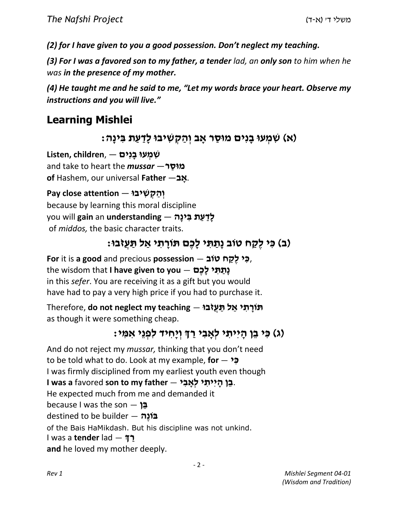*(2) for I have given to you a good possession. Don't neglect my teaching.* 

*(3) For I was a favored son to my father, a tender lad, an only son to him when he was in the presence of my mother.*

*(4) He taught me and he said to me, "Let my words brace your heart. Observe my instructions and you will live."*

## **Learning Mishlei**

**)א( שִׁ מְ עוּ בָ נִים מוּסַ ר אָ ב וְ הַ קְ שִׁ יבוּ לָדַ עַ ת בִּ ינָה:** 

**שִׁ מְ עוּ בָ נִים** — ,**children ,Listen** and take to heart the *mussar* —**ר ַמוּס of** Hashem, our universal **Father** —**ב ָא**.ץ .

**Pay close attention** — **יבוּ ִשׁ ְק ַה ְו**because by learning this moral discipline you will **gain** an **understanding** — **הָינ ִבּ ת ַע ַדָל**of *middos,* the basic character traits.

## **)ב( כִּ י לֶקַ ח טֹוב נָתַ תִּ י לָכֶם תֹּורָ תִ י אַ ל תַּ עֲזֹבוּ:**

**For** it is **a good** and precious **possession** — **ובֹט ח ַקֶל י ִכּ**, the wisdom that **I have given to you** — **םֶכָל י ִתּ ַתָנ**in this *sefer*. You are receiving it as a gift but you would have had to pay a very high price if you had to purchase it.

Therefore, **do not neglect my teaching** — **בוֹּזֲע ַתּ ל ַא י ִת ָורֹתּ**as though it were something cheap.

## **)ג( כִּ י בֵ ן הָ יִיתִ י לְאָ בִ י רַ ְך וְ יָחִ יד לִפְ נֵי אִ מִּ י:**

And do not reject my *mussar,* thinking that you don't need to be told what to do. Look at my example, **for** — **י ִכּ** I was firmly disciplined from my earliest youth even though .**בֵ ן הָ יִיתִ י לְאָ בִ י** — **father my to son** favored **a was I** He expected much from me and demanded it because I was the son — **ן ֵבּ**destined to be builder — **הֶונֹבּ**of the Bais HaMikdash. But his discipline was not unkind. I was a **tender** lad — **ךְ ַרand** he loved my mother deeply.